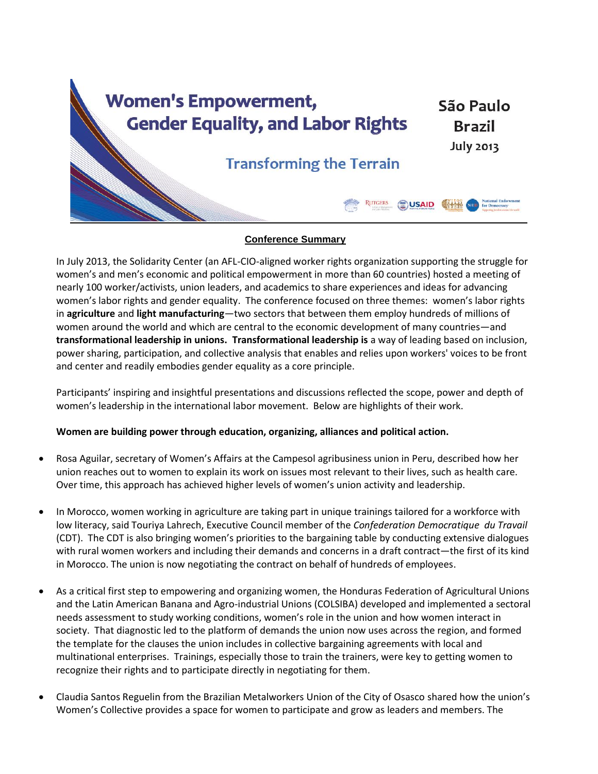

## **Conference Summary**

In July 2013, the Solidarity Center (an AFL-CIO-aligned worker rights organization supporting the struggle for women's and men's economic and political empowerment in more than 60 countries) hosted a meeting of nearly 100 worker/activists, union leaders, and academics to share experiences and ideas for advancing women's labor rights and gender equality. The conference focused on three themes: women's labor rights in **agriculture** and **light manufacturing**—two sectors that between them employ hundreds of millions of women around the world and which are central to the economic development of many countries—and **transformational leadership in unions. Transformational leadership is** a way of leading based on inclusion, power sharing, participation, and collective analysis that enables and relies upon workers' voices to be front and center and readily embodies gender equality as a core principle.

Participants' inspiring and insightful presentations and discussions reflected the scope, power and depth of women's leadership in the international labor movement. Below are highlights of their work.

# **Women are building power through education, organizing, alliances and political action.**

- Rosa Aguilar, secretary of Women's Affairs at the Campesol agribusiness union in Peru, described how her union reaches out to women to explain its work on issues most relevant to their lives, such as health care. Over time, this approach has achieved higher levels of women's union activity and leadership.
- In Morocco, women working in agriculture are taking part in unique trainings tailored for a workforce with low literacy, said Touriya Lahrech, Executive Council member of the *Confederation Democratique du Travail* (CDT). The CDT is also bringing women's priorities to the bargaining table by conducting extensive dialogues with rural women workers and including their demands and concerns in a draft contract—the first of its kind in Morocco. The union is now negotiating the contract on behalf of hundreds of employees.
- As a critical first step to empowering and organizing women, the Honduras Federation of Agricultural Unions and the Latin American Banana and Agro-industrial Unions (COLSIBA) developed and implemented a sectoral needs assessment to study working conditions, women's role in the union and how women interact in society. That diagnostic led to the platform of demands the union now uses across the region, and formed the template for the clauses the union includes in collective bargaining agreements with local and multinational enterprises. Trainings, especially those to train the trainers, were key to getting women to recognize their rights and to participate directly in negotiating for them.
- Claudia Santos Reguelin from the Brazilian Metalworkers Union of the City of Osasco shared how the union's Women's Collective provides a space for women to participate and grow as leaders and members. The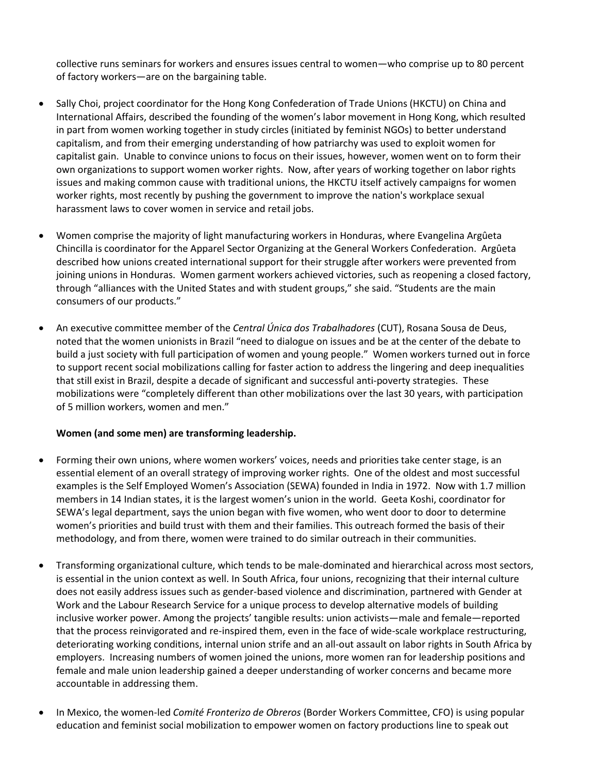collective runs seminars for workers and ensures issues central to women—who comprise up to 80 percent of factory workers—are on the bargaining table.

- Sally Choi, project coordinator for the Hong Kong Confederation of Trade Unions (HKCTU) on China and International Affairs, described the founding of the women's labor movement in Hong Kong, which resulted in part from women working together in study circles (initiated by feminist NGOs) to better understand capitalism, and from their emerging understanding of how patriarchy was used to exploit women for capitalist gain. Unable to convince unions to focus on their issues, however, women went on to form their own organizations to support women worker rights. Now, after years of working together on labor rights issues and making common cause with traditional unions, the HKCTU itself actively campaigns for women worker rights, most recently by pushing the government to improve the nation's workplace sexual harassment laws to cover women in service and retail jobs.
- Women comprise the majority of light manufacturing workers in Honduras, where Evangelina Argûeta Chincilla is coordinator for the Apparel Sector Organizing at the General Workers Confederation. Argûeta described how unions created international support for their struggle after workers were prevented from joining unions in Honduras. Women garment workers achieved victories, such as reopening a closed factory, through "alliances with the United States and with student groups," she said. "Students are the main consumers of our products."
- An executive committee member of the *Central Única dos Trabalhadores* (CUT), Rosana Sousa de Deus, noted that the women unionists in Brazil "need to dialogue on issues and be at the center of the debate to build a just society with full participation of women and young people." Women workers turned out in force to support recent social mobilizations calling for faster action to address the lingering and deep inequalities that still exist in Brazil, despite a decade of significant and successful anti-poverty strategies. These mobilizations were "completely different than other mobilizations over the last 30 years, with participation of 5 million workers, women and men."

### **Women (and some men) are transforming leadership.**

- Forming their own unions, where women workers' voices, needs and priorities take center stage, is an essential element of an overall strategy of improving worker rights. One of the oldest and most successful examples is the Self Employed Women's Association (SEWA) founded in India in 1972. Now with 1.7 million members in 14 Indian states, it is the largest women's union in the world. Geeta Koshi, coordinator for SEWA's legal department, says the union began with five women, who went door to door to determine women's priorities and build trust with them and their families. This outreach formed the basis of their methodology, and from there, women were trained to do similar outreach in their communities.
- Transforming organizational culture, which tends to be male-dominated and hierarchical across most sectors, is essential in the union context as well. In South Africa, four unions, recognizing that their internal culture does not easily address issues such as gender-based violence and discrimination, partnered with Gender at Work and the Labour Research Service for a unique process to develop alternative models of building inclusive worker power. Among the projects' tangible results: union activists—male and female—reported that the process reinvigorated and re-inspired them, even in the face of wide-scale workplace restructuring, deteriorating working conditions, internal union strife and an all-out assault on labor rights in South Africa by employers. Increasing numbers of women joined the unions, more women ran for leadership positions and female and male union leadership gained a deeper understanding of worker concerns and became more accountable in addressing them.
- In Mexico, the women-led *Comité Fronterizo de Obreros* (Border Workers Committee, CFO) is using popular education and feminist social mobilization to empower women on factory productions line to speak out